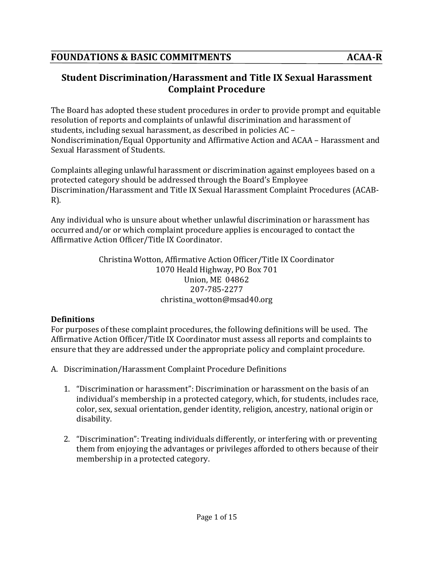# **Student Discrimination/Harassment and Title IX Sexual Harassment Complaint Procedure**

The Board has adopted these student procedures in order to provide prompt and equitable resolution of reports and complaints of unlawful discrimination and harassment of students, including sexual harassment, as described in policies AC -Nondiscrimination/Equal Opportunity and Affirmative Action and ACAA - Harassment and Sexual Harassment of Students.

Complaints alleging unlawful harassment or discrimination against employees based on a protected category should be addressed through the Board's Employee Discrimination/Harassment and Title IX Sexual Harassment Complaint Procedures (ACAB-R).

Any individual who is unsure about whether unlawful discrimination or harassment has occurred and/or or which complaint procedure applies is encouraged to contact the Affirmative Action Officer/Title IX Coordinator.

> Christina Wotton, Affirmative Action Officer/Title IX Coordinator 1070 Heald Highway, PO Box 701 Union, ME 04862 207-785-2277 christina\_wotton@msad40.org

#### **Definitions**

For purposes of these complaint procedures, the following definitions will be used. The Affirmative Action Officer/Title IX Coordinator must assess all reports and complaints to ensure that they are addressed under the appropriate policy and complaint procedure.

- A. Discrimination/Harassment Complaint Procedure Definitions
	- 1. "Discrimination or harassment": Discrimination or harassment on the basis of an individual's membership in a protected category, which, for students, includes race, color, sex, sexual orientation, gender identity, religion, ancestry, national origin or disability.
	- 2. "Discrimination": Treating individuals differently, or interfering with or preventing them from enjoving the advantages or privileges afforded to others because of their membership in a protected category.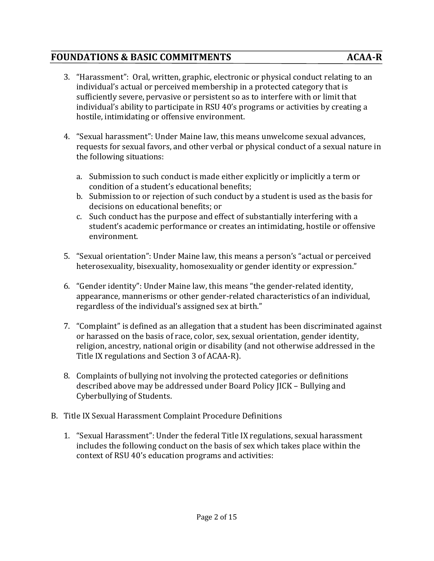- 3. "Harassment": Oral, written, graphic, electronic or physical conduct relating to an individual's actual or perceived membership in a protected category that is sufficiently severe, pervasive or persistent so as to interfere with or limit that individual's ability to participate in RSU 40's programs or activities by creating a hostile, intimidating or offensive environment.
- 4. "Sexual harassment": Under Maine law, this means unwelcome sexual advances, requests for sexual favors, and other verbal or physical conduct of a sexual nature in the following situations:
	- a. Submission to such conduct is made either explicitly or implicitly a term or condition of a student's educational benefits;
	- b. Submission to or rejection of such conduct by a student is used as the basis for decisions on educational benefits; or
	- c. Such conduct has the purpose and effect of substantially interfering with a student's academic performance or creates an intimidating, hostile or offensive environment.
- 5. "Sexual orientation": Under Maine law, this means a person's "actual or perceived heterosexuality, bisexuality, homosexuality or gender identity or expression."
- 6. "Gender identity": Under Maine law, this means "the gender-related identity, appearance, mannerisms or other gender-related characteristics of an individual, regardless of the individual's assigned sex at birth."
- 7. "Complaint" is defined as an allegation that a student has been discriminated against or harassed on the basis of race, color, sex, sexual orientation, gender identity, religion, ancestry, national origin or disability (and not otherwise addressed in the Title IX regulations and Section 3 of ACAA-R).
- 8. Complaints of bullying not involving the protected categories or definitions described above may be addressed under Board Policy JICK - Bullying and Cyberbullying of Students.
- B. Title IX Sexual Harassment Complaint Procedure Definitions
	- 1. "Sexual Harassment": Under the federal Title IX regulations, sexual harassment includes the following conduct on the basis of sex which takes place within the context of RSU 40's education programs and activities: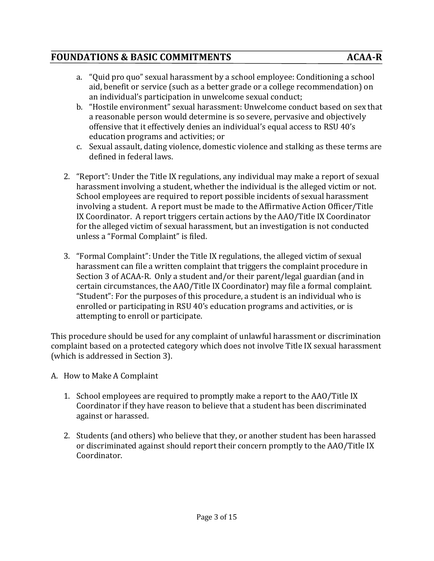- a. "Quid pro quo" sexual harassment by a school employee: Conditioning a school aid, benefit or service (such as a better grade or a college recommendation) on an individual's participation in unwelcome sexual conduct;
- b. "Hostile environment" sexual harassment: Unwelcome conduct based on sex that a reasonable person would determine is so severe, pervasive and objectively offensive that it effectively denies an individual's equal access to RSU 40's education programs and activities; or
- c. Sexual assault, dating violence, domestic violence and stalking as these terms are defined in federal laws.
- 2. "Report": Under the Title IX regulations, any individual may make a report of sexual harassment involving a student, whether the individual is the alleged victim or not. School employees are required to report possible incidents of sexual harassment involving a student. A report must be made to the Affirmative Action Officer/Title IX Coordinator. A report triggers certain actions by the AAO/Title IX Coordinator for the alleged victim of sexual harassment, but an investigation is not conducted unless a "Formal Complaint" is filed.
- 3. "Formal Complaint": Under the Title IX regulations, the alleged victim of sexual harassment can file a written complaint that triggers the complaint procedure in Section 3 of ACAA-R. Only a student and/or their parent/legal guardian (and in certain circumstances, the AAO/Title IX Coordinator) may file a formal complaint. "Student": For the purposes of this procedure, a student is an individual who is enrolled or participating in RSU 40's education programs and activities, or is attempting to enroll or participate.

This procedure should be used for any complaint of unlawful harassment or discrimination complaint based on a protected category which does not involve Title IX sexual harassment (which is addressed in Section 3).

- A. How to Make A Complaint
	- 1. School employees are required to promptly make a report to the AAO/Title IX Coordinator if they have reason to believe that a student has been discriminated against or harassed.
	- 2. Students (and others) who believe that they, or another student has been harassed or discriminated against should report their concern promptly to the AAO/Title IX Coordinator.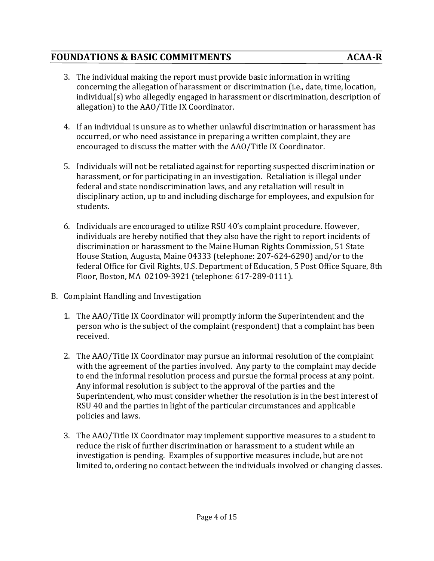- 3. The individual making the report must provide basic information in writing concerning the allegation of harassment or discrimination (i.e., date, time, location, individual(s) who allegedly engaged in harassment or discrimination, description of allegation) to the AAO/Title IX Coordinator.
- 4. If an individual is unsure as to whether unlawful discrimination or harassment has occurred, or who need assistance in preparing a written complaint, they are encouraged to discuss the matter with the AAO/Title IX Coordinator.
- 5. Individuals will not be retaliated against for reporting suspected discrimination or harassment, or for participating in an investigation. Retaliation is illegal under federal and state nondiscrimination laws, and any retaliation will result in disciplinary action, up to and including discharge for employees, and expulsion for students.
- 6. Individuals are encouraged to utilize RSU 40's complaint procedure. However, individuals are hereby notified that they also have the right to report incidents of discrimination or harassment to the Maine Human Rights Commission, 51 State House Station, Augusta, Maine 04333 (telephone: 207-624-6290) and/or to the federal Office for Civil Rights, U.S. Department of Education, 5 Post Office Square, 8th Floor, Boston, MA 02109-3921 (telephone: 617-289-0111).
- B. Complaint Handling and Investigation
	- 1. The AAO/Title IX Coordinator will promptly inform the Superintendent and the person who is the subject of the complaint (respondent) that a complaint has been received.
	- 2. The AAO/Title IX Coordinator may pursue an informal resolution of the complaint with the agreement of the parties involved. Any party to the complaint may decide to end the informal resolution process and pursue the formal process at any point. Any informal resolution is subject to the approval of the parties and the Superintendent, who must consider whether the resolution is in the best interest of RSU 40 and the parties in light of the particular circumstances and applicable policies and laws.
	- 3. The AAO/Title IX Coordinator may implement supportive measures to a student to reduce the risk of further discrimination or harassment to a student while an investigation is pending. Examples of supportive measures include, but are not limited to, ordering no contact between the individuals involved or changing classes.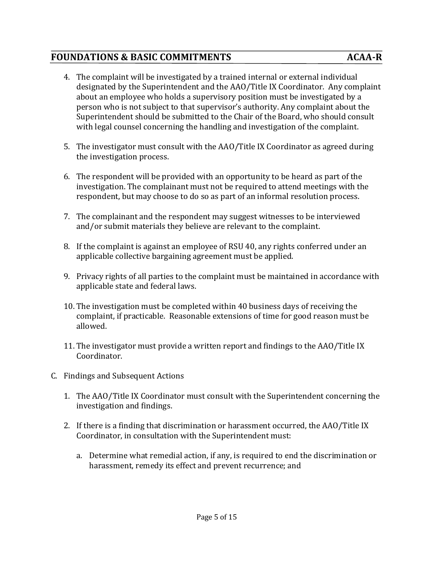- 4. The complaint will be investigated by a trained internal or external individual designated by the Superintendent and the AAO/Title IX Coordinator. Any complaint about an employee who holds a supervisory position must be investigated by a person who is not subject to that supervisor's authority. Any complaint about the Superintendent should be submitted to the Chair of the Board, who should consult with legal counsel concerning the handling and investigation of the complaint.
- 5. The investigator must consult with the AAO/Title IX Coordinator as agreed during the investigation process.
- 6. The respondent will be provided with an opportunity to be heard as part of the investigation. The complainant must not be required to attend meetings with the respondent, but may choose to do so as part of an informal resolution process.
- 7. The complainant and the respondent may suggest witnesses to be interviewed and/or submit materials they believe are relevant to the complaint.
- 8. If the complaint is against an employee of RSU 40, any rights conferred under an applicable collective bargaining agreement must be applied.
- 9. Privacy rights of all parties to the complaint must be maintained in accordance with applicable state and federal laws.
- 10. The investigation must be completed within 40 business days of receiving the complaint, if practicable. Reasonable extensions of time for good reason must be allowed.
- 11. The investigator must provide a written report and findings to the AAO/Title IX Coordinator.
- C. Findings and Subsequent Actions
	- 1. The AAO/Title IX Coordinator must consult with the Superintendent concerning the investigation and findings.
	- 2. If there is a finding that discrimination or harassment occurred, the AAO/Title IX Coordinator, in consultation with the Superintendent must:
		- a. Determine what remedial action, if any, is required to end the discrimination or harassment, remedy its effect and prevent recurrence; and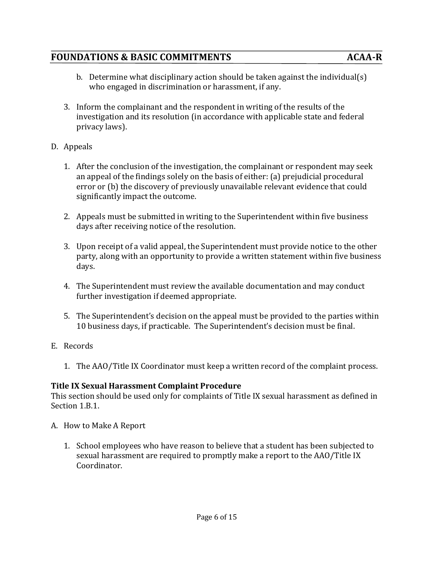- b. Determine what disciplinary action should be taken against the individual(s) who engaged in discrimination or harassment, if any.
- 3. Inform the complainant and the respondent in writing of the results of the investigation and its resolution (in accordance with applicable state and federal privacy laws).
- D. Appeals
	- 1. After the conclusion of the investigation, the complainant or respondent may seek an appeal of the findings solely on the basis of either: (a) prejudicial procedural error or (b) the discovery of previously unavailable relevant evidence that could significantly impact the outcome.
	- 2. Appeals must be submitted in writing to the Superintendent within five business days after receiving notice of the resolution.
	- 3. Upon receipt of a valid appeal, the Superintendent must provide notice to the other party, along with an opportunity to provide a written statement within five business days.
	- 4. The Superintendent must review the available documentation and may conduct further investigation if deemed appropriate.
	- 5. The Superintendent's decision on the appeal must be provided to the parties within 10 business days, if practicable. The Superintendent's decision must be final.
- E. Records
	- 1. The AAO/Title IX Coordinator must keep a written record of the complaint process.

#### **Title IX Sexual Harassment Complaint Procedure**

This section should be used only for complaints of Title IX sexual harassment as defined in Section 1.B.1.

- A. How to Make A Report
	- 1. School employees who have reason to believe that a student has been subjected to sexual harassment are required to promptly make a report to the AAO/Title IX Coordinator.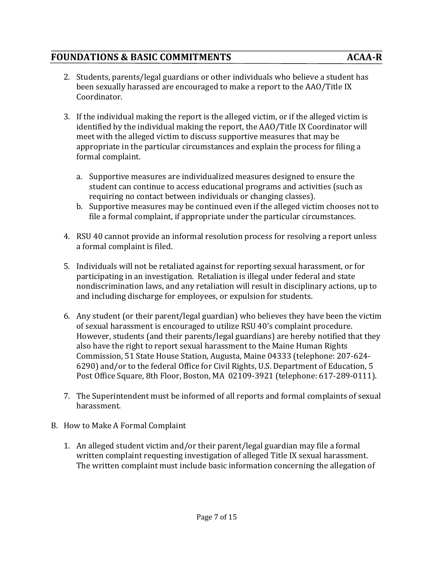- 2. Students, parents/legal guardians or other individuals who believe a student has been sexually harassed are encouraged to make a report to the AAO/Title IX Coordinator.
- 3. If the individual making the report is the alleged victim, or if the alleged victim is identified by the individual making the report, the AAO/Title IX Coordinator will meet with the alleged victim to discuss supportive measures that may be appropriate in the particular circumstances and explain the process for filing a formal complaint.
	- a. Supportive measures are individualized measures designed to ensure the student can continue to access educational programs and activities (such as requiring no contact between individuals or changing classes).
	- b. Supportive measures may be continued even if the alleged victim chooses not to file a formal complaint, if appropriate under the particular circumstances.
- 4. RSU 40 cannot provide an informal resolution process for resolving a report unless a formal complaint is filed.
- 5. Individuals will not be retaliated against for reporting sexual harassment, or for participating in an investigation. Retaliation is illegal under federal and state nondiscrimination laws, and any retaliation will result in disciplinary actions, up to and including discharge for employees, or expulsion for students.
- 6. Any student (or their parent/legal guardian) who believes they have been the victim of sexual harassment is encouraged to utilize RSU 40's complaint procedure. However, students (and their parents/legal guardians) are hereby notified that they also have the right to report sexual harassment to the Maine Human Rights Commission, 51 State House Station, Augusta, Maine 04333 (telephone: 207-624-6290) and/or to the federal Office for Civil Rights, U.S. Department of Education, 5 Post Office Square, 8th Floor, Boston, MA 02109-3921 (telephone: 617-289-0111).
- 7. The Superintendent must be informed of all reports and formal complaints of sexual harassment.
- B. How to Make A Formal Complaint
	- 1. An alleged student victim and/or their parent/legal guardian may file a formal written complaint requesting investigation of alleged Title IX sexual harassment. The written complaint must include basic information concerning the allegation of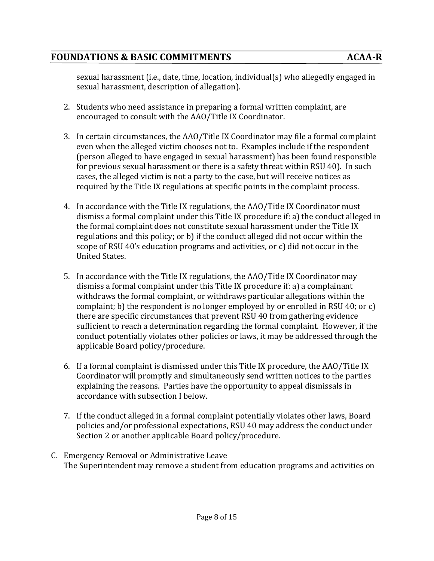sexual harassment (i.e., date, time, location, individual(s) who allegedly engaged in sexual harassment, description of allegation).

- 2. Students who need assistance in preparing a formal written complaint, are encouraged to consult with the AAO/Title IX Coordinator.
- 3. In certain circumstances, the AAO/Title IX Coordinator may file a formal complaint even when the alleged victim chooses not to. Examples include if the respondent (person alleged to have engaged in sexual harassment) has been found responsible for previous sexual harassment or there is a safety threat within RSU 40). In such cases, the alleged victim is not a party to the case, but will receive notices as required by the Title IX regulations at specific points in the complaint process.
- 4. In accordance with the Title IX regulations, the AAO/Title IX Coordinator must dismiss a formal complaint under this Title IX procedure if: a) the conduct alleged in the formal complaint does not constitute sexual harassment under the Title IX regulations and this policy; or b) if the conduct alleged did not occur within the scope of RSU 40's education programs and activities, or  $c$ ) did not occur in the United States.
- 5. In accordance with the Title IX regulations, the AAO/Title IX Coordinator may dismiss a formal complaint under this Title IX procedure if: a) a complainant withdraws the formal complaint, or withdraws particular allegations within the complaint; b) the respondent is no longer employed by or enrolled in RSU 40; or c) there are specific circumstances that prevent RSU 40 from gathering evidence sufficient to reach a determination regarding the formal complaint. However, if the conduct potentially violates other policies or laws, it may be addressed through the applicable Board policy/procedure.
- 6. If a formal complaint is dismissed under this Title IX procedure, the AAO/Title IX Coordinator will promptly and simultaneously send written notices to the parties explaining the reasons. Parties have the opportunity to appeal dismissals in accordance with subsection I below.
- 7. If the conduct alleged in a formal complaint potentially violates other laws, Board policies and/or professional expectations, RSU 40 may address the conduct under Section 2 or another applicable Board policy/procedure.
- C. Emergency Removal or Administrative Leave The Superintendent may remove a student from education programs and activities on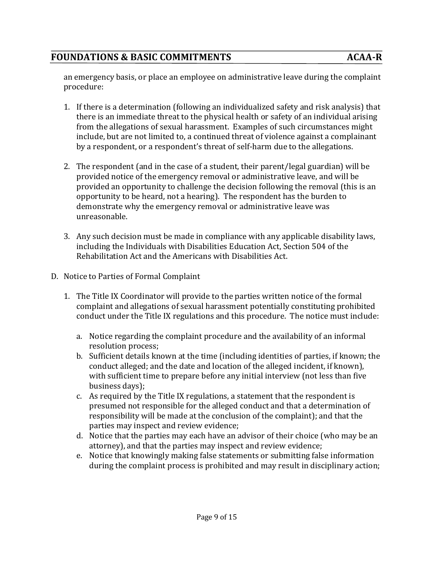an emergency basis, or place an employee on administrative leave during the complaint procedure:

- 1. If there is a determination (following an individualized safety and risk analysis) that there is an immediate threat to the physical health or safety of an individual arising from the allegations of sexual harassment. Examples of such circumstances might include, but are not limited to, a continued threat of violence against a complainant by a respondent, or a respondent's threat of self-harm due to the allegations.
- 2. The respondent (and in the case of a student, their parent/legal guardian) will be provided notice of the emergency removal or administrative leave, and will be provided an opportunity to challenge the decision following the removal (this is an opportunity to be heard, not a hearing). The respondent has the burden to demonstrate why the emergency removal or administrative leave was unreasonable.
- 3. Any such decision must be made in compliance with any applicable disability laws, including the Individuals with Disabilities Education Act, Section 504 of the Rehabilitation Act and the Americans with Disabilities Act.
- D. Notice to Parties of Formal Complaint
	- 1. The Title IX Coordinator will provide to the parties written notice of the formal complaint and allegations of sexual harassment potentially constituting prohibited conduct under the Title IX regulations and this procedure. The notice must include:
		- a. Notice regarding the complaint procedure and the availability of an informal resolution process;
		- b. Sufficient details known at the time (including identities of parties, if known; the conduct alleged; and the date and location of the alleged incident, if known), with sufficient time to prepare before any initial interview (not less than five business days);
		- c. As required by the Title IX regulations, a statement that the respondent is presumed not responsible for the alleged conduct and that a determination of responsibility will be made at the conclusion of the complaint); and that the parties may inspect and review evidence;
		- d. Notice that the parties may each have an advisor of their choice (who may be an attorney), and that the parties may inspect and review evidence;
		- e. Notice that knowingly making false statements or submitting false information during the complaint process is prohibited and may result in disciplinary action;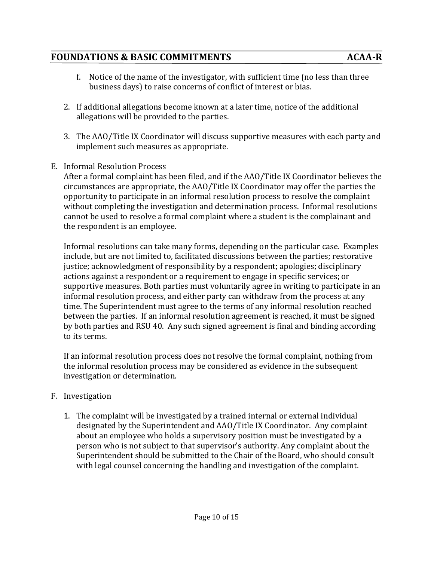- 2. If additional allegations become known at a later time, notice of the additional allegations will be provided to the parties.
- 3. The AAO/Title IX Coordinator will discuss supportive measures with each party and implement such measures as appropriate.
- E. Informal Resolution Process

After a formal complaint has been filed, and if the AAO/Title IX Coordinator believes the circumstances are appropriate, the AAO/Title IX Coordinator may offer the parties the opportunity to participate in an informal resolution process to resolve the complaint without completing the investigation and determination process. Informal resolutions cannot be used to resolve a formal complaint where a student is the complainant and the respondent is an employee.

Informal resolutions can take many forms, depending on the particular case. Examples include, but are not limited to, facilitated discussions between the parties; restorative justice; acknowledgment of responsibility by a respondent; apologies; disciplinary actions against a respondent or a requirement to engage in specific services; or supportive measures. Both parties must voluntarily agree in writing to participate in an informal resolution process, and either party can withdraw from the process at any time. The Superintendent must agree to the terms of any informal resolution reached between the parties. If an informal resolution agreement is reached, it must be signed by both parties and RSU 40. Any such signed agreement is final and binding according to its terms.

If an informal resolution process does not resolve the formal complaint, nothing from the informal resolution process may be considered as evidence in the subsequent investigation or determination.

#### F. Investigation

1. The complaint will be investigated by a trained internal or external individual designated by the Superintendent and AAO/Title IX Coordinator. Any complaint about an employee who holds a supervisory position must be investigated by a person who is not subject to that supervisor's authority. Any complaint about the Superintendent should be submitted to the Chair of the Board, who should consult with legal counsel concerning the handling and investigation of the complaint.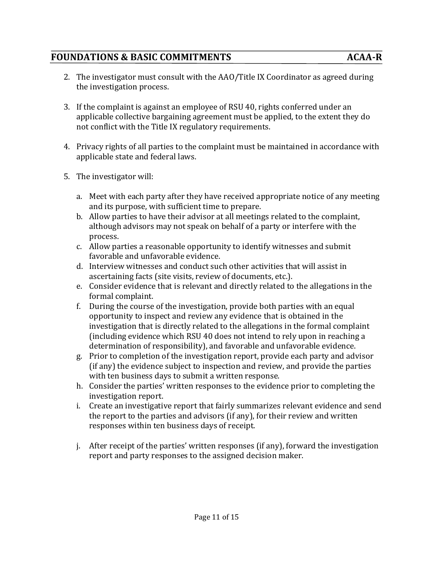- 2. The investigator must consult with the AAO/Title IX Coordinator as agreed during the investigation process.
- 3. If the complaint is against an employee of RSU 40, rights conferred under an applicable collective bargaining agreement must be applied, to the extent they do not conflict with the Title IX regulatory requirements.
- 4. Privacy rights of all parties to the complaint must be maintained in accordance with applicable state and federal laws.
- 5. The investigator will:
	- a. Meet with each party after they have received appropriate notice of any meeting and its purpose, with sufficient time to prepare.
	- b. Allow parties to have their advisor at all meetings related to the complaint, although advisors may not speak on behalf of a party or interfere with the process.
	- c. Allow parties a reasonable opportunity to identify witnesses and submit favorable and unfavorable evidence.
	- d. Interview witnesses and conduct such other activities that will assist in ascertaining facts (site visits, review of documents, etc.).
	- e. Consider evidence that is relevant and directly related to the allegations in the formal complaint.
	- f. During the course of the investigation, provide both parties with an equal opportunity to inspect and review any evidence that is obtained in the investigation that is directly related to the allegations in the formal complaint (including evidence which RSU 40 does not intend to rely upon in reaching a determination of responsibility), and favorable and unfavorable evidence.
	- g. Prior to completion of the investigation report, provide each party and advisor  $(i)$  (if any) the evidence subject to inspection and review, and provide the parties with ten business days to submit a written response.
	- h. Consider the parties' written responses to the evidence prior to completing the investigation report.
	- i. Create an investigative report that fairly summarizes relevant evidence and send the report to the parties and advisors (if any), for their review and written responses within ten business days of receipt.
	- $i.$  After receipt of the parties' written responses (if any), forward the investigation report and party responses to the assigned decision maker.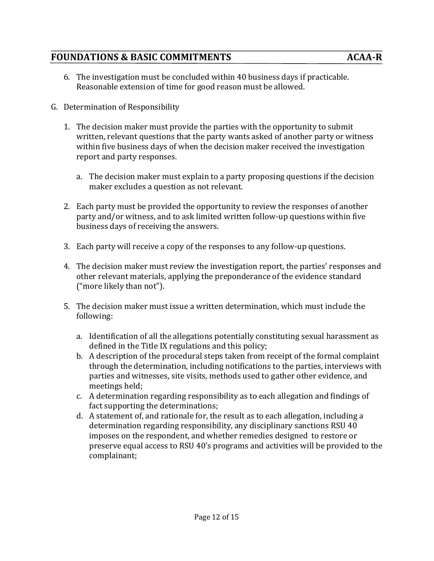- 6. The investigation must be concluded within 40 business days if practicable. Reasonable extension of time for good reason must be allowed.
- G. Determination of Responsibility
	- 1. The decision maker must provide the parties with the opportunity to submit written, relevant questions that the party wants asked of another party or witness within five business days of when the decision maker received the investigation report and party responses.
		- a. The decision maker must explain to a party proposing questions if the decision maker excludes a question as not relevant.
	- 2. Each party must be provided the opportunity to review the responses of another party and/or witness, and to ask limited written follow-up questions within five business days of receiving the answers.
	- 3. Each party will receive a copy of the responses to any follow-up questions.
	- 4. The decision maker must review the investigation report, the parties' responses and other relevant materials, applying the preponderance of the evidence standard ("more likely than not").
	- 5. The decision maker must issue a written determination, which must include the following:
		- a. Identification of all the allegations potentially constituting sexual harassment as defined in the Title IX regulations and this policy;
		- b. A description of the procedural steps taken from receipt of the formal complaint through the determination, including notifications to the parties, interviews with parties and witnesses, site visits, methods used to gather other evidence, and meetings held;
		- c. A determination regarding responsibility as to each allegation and findings of fact supporting the determinations;
		- d. A statement of, and rationale for, the result as to each allegation, including a determination regarding responsibility, any disciplinary sanctions RSU 40 imposes on the respondent, and whether remedies designed to restore or preserve equal access to RSU 40's programs and activities will be provided to the complainant;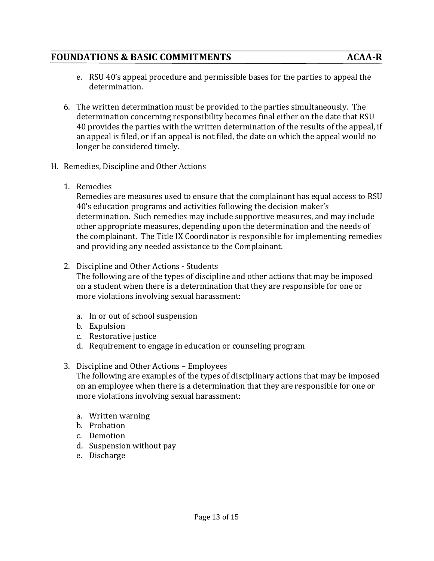- e. RSU 40's appeal procedure and permissible bases for the parties to appeal the determination.
- 6. The written determination must be provided to the parties simultaneously. The determination concerning responsibility becomes final either on the date that RSU 40 provides the parties with the written determination of the results of the appeal, if an appeal is filed, or if an appeal is not filed, the date on which the appeal would no longer be considered timely.
- H. Remedies, Discipline and Other Actions
	- 1. Remedies

Remedies are measures used to ensure that the complainant has equal access to RSU 40's education programs and activities following the decision maker's determination. Such remedies may include supportive measures, and may include other appropriate measures, depending upon the determination and the needs of the complainant. The Title IX Coordinator is responsible for implementing remedies and providing any needed assistance to the Complainant.

2. Discipline and Other Actions - Students

The following are of the types of discipline and other actions that may be imposed on a student when there is a determination that they are responsible for one or more violations involving sexual harassment:

- a. In or out of school suspension
- b. Expulsion
- c. Restorative iustice
- d. Requirement to engage in education or counseling program
- 3. Discipline and Other Actions Employees

The following are examples of the types of disciplinary actions that may be imposed on an employee when there is a determination that they are responsible for one or more violations involving sexual harassment:

- a. Written warning
- b. Probation
- c. Demotion
- d. Suspension without pay
- e. Discharge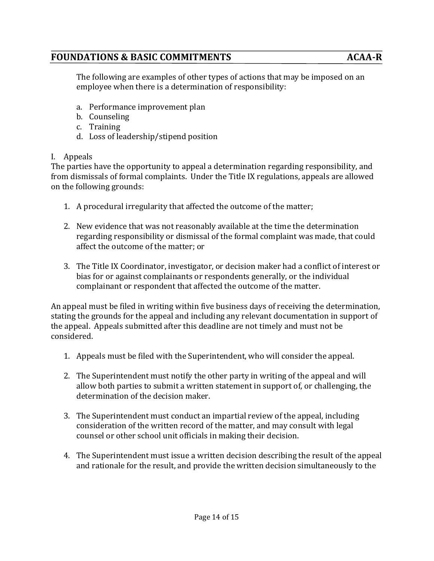The following are examples of other types of actions that may be imposed on an employee when there is a determination of responsibility:

- a. Performance improvement plan
- b. Counseling
- c. Training
- d. Loss of leadership/stipend position

#### I. Appeals

The parties have the opportunity to appeal a determination regarding responsibility, and from dismissals of formal complaints. Under the Title IX regulations, appeals are allowed on the following grounds:

- 1. A procedural irregularity that affected the outcome of the matter;
- 2. New evidence that was not reasonably available at the time the determination regarding responsibility or dismissal of the formal complaint was made, that could affect the outcome of the matter; or
- 3. The Title IX Coordinator, investigator, or decision maker had a conflict of interest or bias for or against complainants or respondents generally, or the individual complainant or respondent that affected the outcome of the matter.

An appeal must be filed in writing within five business days of receiving the determination, stating the grounds for the appeal and including any relevant documentation in support of the appeal. Appeals submitted after this deadline are not timely and must not be considered.

- 1. Appeals must be filed with the Superintendent, who will consider the appeal.
- 2. The Superintendent must notify the other party in writing of the appeal and will allow both parties to submit a written statement in support of, or challenging, the determination of the decision maker.
- 3. The Superintendent must conduct an impartial review of the appeal, including consideration of the written record of the matter, and may consult with legal counsel or other school unit officials in making their decision.
- 4. The Superintendent must issue a written decision describing the result of the appeal and rationale for the result, and provide the written decision simultaneously to the